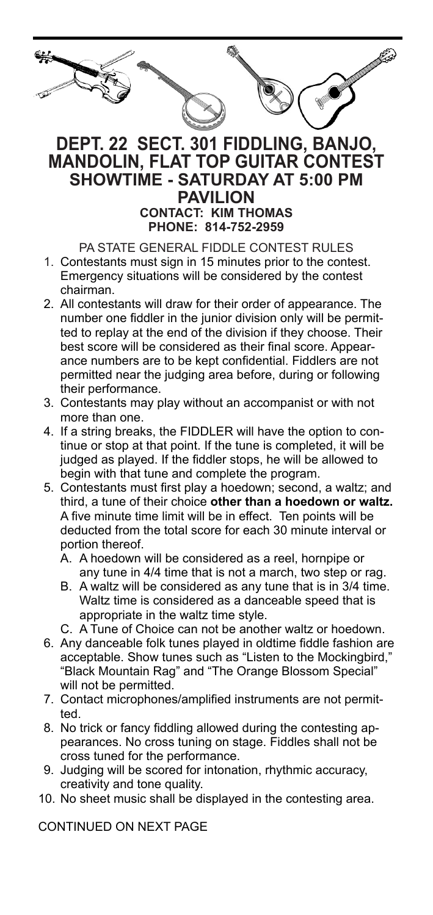| e. |  |
|----|--|
| ్  |  |
|    |  |

## **DEPT. 22 SECT. 301 FIDDLING, BANJO, MANDOLIN, FLAT TOP GUITAR CONTEST SHOWTIME - SATURDAY AT 5:00 PM PAVILION**

**CONTACT: KIM THOMAS PHONE: 814-752-2959**

PA STATE GENERAL FIDDLE CONTEST RULES

- 1. Contestants must sign in 15 minutes prior to the contest. Emergency situations will be considered by the contest chairman.
- 2. All contestants will draw for their order of appearance. The number one fiddler in the junior division only will be permitted to replay at the end of the division if they choose. Their best score will be considered as their final score. Appearance numbers are to be kept confidential. Fiddlers are not permitted near the judging area before, during or following their performance.
- 3. Contestants may play without an accompanist or with not more than one.
- 4. If a string breaks, the FIDDLER will have the option to continue or stop at that point. If the tune is completed, it will be judged as played. If the fiddler stops, he will be allowed to begin with that tune and complete the program.
- 5. Contestants must first play a hoedown; second, a waltz; and third, a tune of their choice **other than a hoedown or waltz.** A five minute time limit will be in effect. Ten points will be deducted from the total score for each 30 minute interval or portion thereof.
	- A. A hoedown will be considered as a reel, hornpipe or any tune in 4/4 time that is not a march, two step or rag.
	- B. A waltz will be considered as any tune that is in 3/4 time. Waltz time is considered as a danceable speed that is appropriate in the waltz time style.
	- C. A Tune of Choice can not be another waltz or hoedown.
- 6. Any danceable folk tunes played in oldtime fiddle fashion are acceptable. Show tunes such as "Listen to the Mockingbird," "Black Mountain Rag" and "The Orange Blossom Special" will not be permitted.
- 7. Contact microphones/amplified instruments are not permitted.
- 8. No trick or fancy fiddling allowed during the contesting appearances. No cross tuning on stage. Fiddles shall not be cross tuned for the performance.
- 9. Judging will be scored for intonation, rhythmic accuracy, creativity and tone quality.
- 10. No sheet music shall be displayed in the contesting area.

CONTINUED ON NEXT PAGE